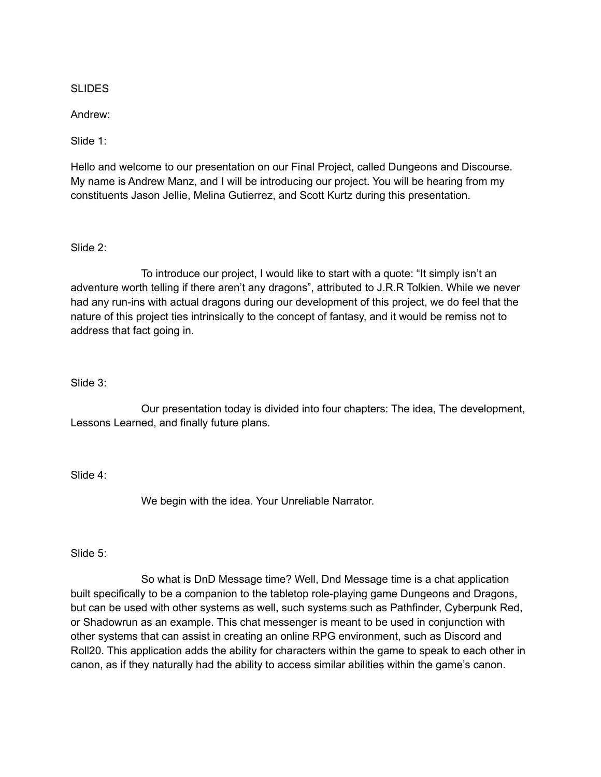**SLIDES** 

Andrew:

Slide 1:

Hello and welcome to our presentation on our Final Project, called Dungeons and Discourse. My name is Andrew Manz, and I will be introducing our project. You will be hearing from my constituents Jason Jellie, Melina Gutierrez, and Scott Kurtz during this presentation.

Slide 2:

To introduce our project, I would like to start with a quote: "It simply isn't an adventure worth telling if there aren't any dragons", attributed to J.R.R Tolkien. While we never had any run-ins with actual dragons during our development of this project, we do feel that the nature of this project ties intrinsically to the concept of fantasy, and it would be remiss not to address that fact going in.

#### Slide 3:

Our presentation today is divided into four chapters: The idea, The development, Lessons Learned, and finally future plans.

Slide 4:

We begin with the idea. Your Unreliable Narrator.

Slide 5:

So what is DnD Message time? Well, Dnd Message time is a chat application built specifically to be a companion to the tabletop role-playing game Dungeons and Dragons, but can be used with other systems as well, such systems such as Pathfinder, Cyberpunk Red, or Shadowrun as an example. This chat messenger is meant to be used in conjunction with other systems that can assist in creating an online RPG environment, such as Discord and Roll20. This application adds the ability for characters within the game to speak to each other in canon, as if they naturally had the ability to access similar abilities within the game's canon.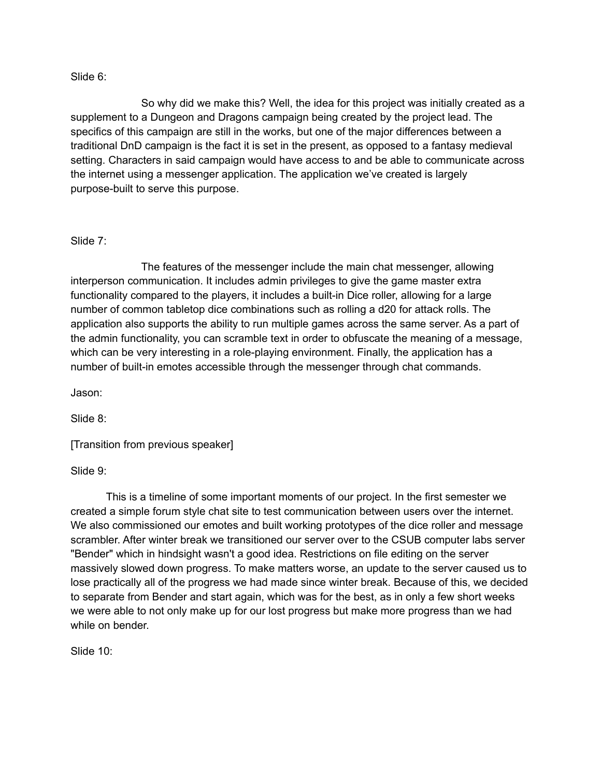### Slide 6:

So why did we make this? Well, the idea for this project was initially created as a supplement to a Dungeon and Dragons campaign being created by the project lead. The specifics of this campaign are still in the works, but one of the major differences between a traditional DnD campaign is the fact it is set in the present, as opposed to a fantasy medieval setting. Characters in said campaign would have access to and be able to communicate across the internet using a messenger application. The application we've created is largely purpose-built to serve this purpose.

## Slide 7:

The features of the messenger include the main chat messenger, allowing interperson communication. It includes admin privileges to give the game master extra functionality compared to the players, it includes a built-in Dice roller, allowing for a large number of common tabletop dice combinations such as rolling a d20 for attack rolls. The application also supports the ability to run multiple games across the same server. As a part of the admin functionality, you can scramble text in order to obfuscate the meaning of a message, which can be very interesting in a role-playing environment. Finally, the application has a number of built-in emotes accessible through the messenger through chat commands.

Jason:

Slide 8:

[Transition from previous speaker]

Slide 9:

This is a timeline of some important moments of our project. In the first semester we created a simple forum style chat site to test communication between users over the internet. We also commissioned our emotes and built working prototypes of the dice roller and message scrambler. After winter break we transitioned our server over to the CSUB computer labs server "Bender" which in hindsight wasn't a good idea. Restrictions on file editing on the server massively slowed down progress. To make matters worse, an update to the server caused us to lose practically all of the progress we had made since winter break. Because of this, we decided to separate from Bender and start again, which was for the best, as in only a few short weeks we were able to not only make up for our lost progress but make more progress than we had while on bender.

Slide 10: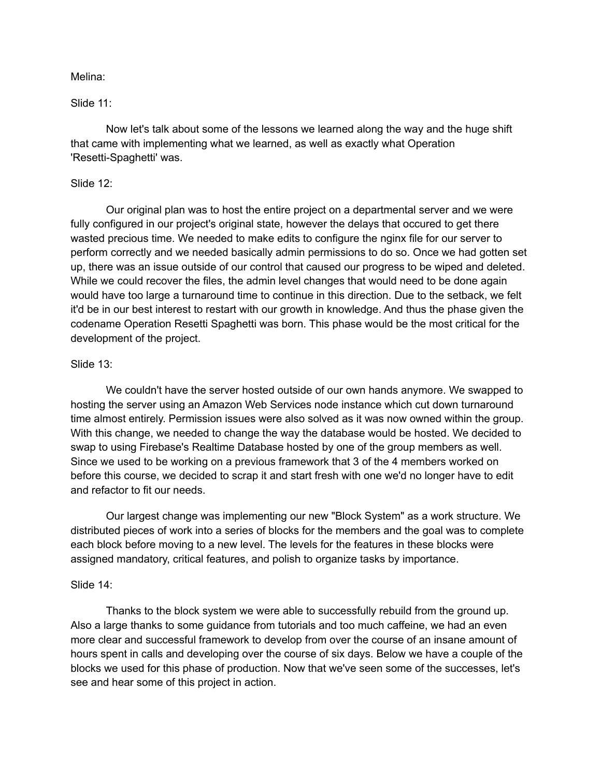### Melina:

### Slide 11:

Now let's talk about some of the lessons we learned along the way and the huge shift that came with implementing what we learned, as well as exactly what Operation 'Resetti-Spaghetti' was.

### Slide 12:

Our original plan was to host the entire project on a departmental server and we were fully configured in our project's original state, however the delays that occured to get there wasted precious time. We needed to make edits to configure the nginx file for our server to perform correctly and we needed basically admin permissions to do so. Once we had gotten set up, there was an issue outside of our control that caused our progress to be wiped and deleted. While we could recover the files, the admin level changes that would need to be done again would have too large a turnaround time to continue in this direction. Due to the setback, we felt it'd be in our best interest to restart with our growth in knowledge. And thus the phase given the codename Operation Resetti Spaghetti was born. This phase would be the most critical for the development of the project.

### Slide 13:

We couldn't have the server hosted outside of our own hands anymore. We swapped to hosting the server using an Amazon Web Services node instance which cut down turnaround time almost entirely. Permission issues were also solved as it was now owned within the group. With this change, we needed to change the way the database would be hosted. We decided to swap to using Firebase's Realtime Database hosted by one of the group members as well. Since we used to be working on a previous framework that 3 of the 4 members worked on before this course, we decided to scrap it and start fresh with one we'd no longer have to edit and refactor to fit our needs.

Our largest change was implementing our new "Block System" as a work structure. We distributed pieces of work into a series of blocks for the members and the goal was to complete each block before moving to a new level. The levels for the features in these blocks were assigned mandatory, critical features, and polish to organize tasks by importance.

#### Slide 14:

Thanks to the block system we were able to successfully rebuild from the ground up. Also a large thanks to some guidance from tutorials and too much caffeine, we had an even more clear and successful framework to develop from over the course of an insane amount of hours spent in calls and developing over the course of six days. Below we have a couple of the blocks we used for this phase of production. Now that we've seen some of the successes, let's see and hear some of this project in action.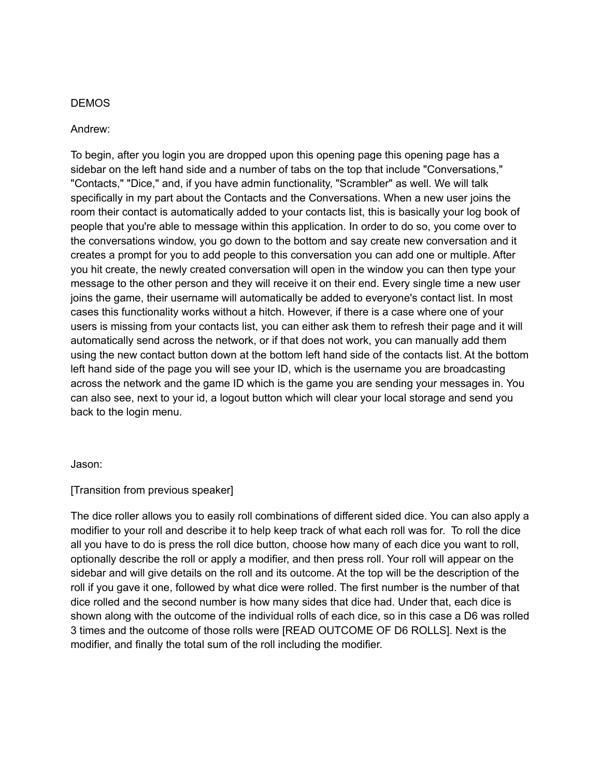# DEMOS

## Andrew:

To begin, after you login you are dropped upon this opening page this opening page has a sidebar on the left hand side and a number of tabs on the top that include "Conversations," "Contacts," "Dice," and, if you have admin functionality, "Scrambler" as well. We will talk specifically in my part about the Contacts and the Conversations. When a new user joins the room their contact is automatically added to your contacts list, this is basically your log book of people that you're able to message within this application. In order to do so, you come over to the conversations window, you go down to the bottom and say create new conversation and it creates a prompt for you to add people to this conversation you can add one or multiple. After you hit create, the newly created conversation will open in the window you can then type your message to the other person and they will receive it on their end. Every single time a new user joins the game, their username will automatically be added to everyone's contact list. In most cases this functionality works without a hitch. However, if there is a case where one of your users is missing from your contacts list, you can either ask them to refresh their page and it will automatically send across the network, or if that does not work, you can manually add them using the new contact button down at the bottom left hand side of the contacts list. At the bottom left hand side of the page you will see your ID, which is the username you are broadcasting across the network and the game ID which is the game you are sending your messages in. You can also see, next to your id, a logout button which will clear your local storage and send you back to the login menu.

## Jason:

## [Transition from previous speaker]

The dice roller allows you to easily roll combinations of different sided dice. You can also apply a modifier to your roll and describe it to help keep track of what each roll was for. To roll the dice all you have to do is press the roll dice button, choose how many of each dice you want to roll, optionally describe the roll or apply a modifier, and then press roll. Your roll will appear on the sidebar and will give details on the roll and its outcome. At the top will be the description of the roll if you gave it one, followed by what dice were rolled. The first number is the number of that dice rolled and the second number is how many sides that dice had. Under that, each dice is shown along with the outcome of the individual rolls of each dice, so in this case a D6 was rolled 3 times and the outcome of those rolls were [READ OUTCOME OF D6 ROLLS]. Next is the modifier, and finally the total sum of the roll including the modifier.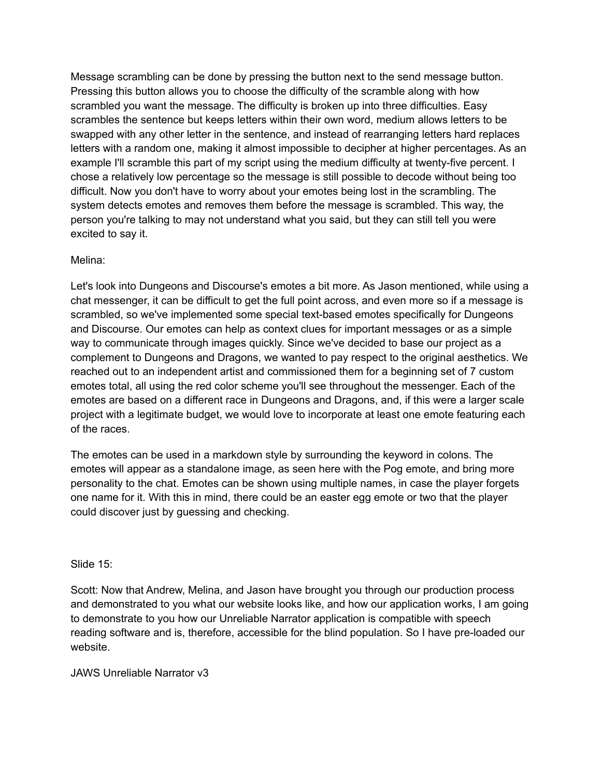Message scrambling can be done by pressing the button next to the send message button. Pressing this button allows you to choose the difficulty of the scramble along with how scrambled you want the message. The difficulty is broken up into three difficulties. Easy scrambles the sentence but keeps letters within their own word, medium allows letters to be swapped with any other letter in the sentence, and instead of rearranging letters hard replaces letters with a random one, making it almost impossible to decipher at higher percentages. As an example I'll scramble this part of my script using the medium difficulty at twenty-five percent. I chose a relatively low percentage so the message is still possible to decode without being too difficult. Now you don't have to worry about your emotes being lost in the scrambling. The system detects emotes and removes them before the message is scrambled. This way, the person you're talking to may not understand what you said, but they can still tell you were excited to say it.

## Melina:

Let's look into Dungeons and Discourse's emotes a bit more. As Jason mentioned, while using a chat messenger, it can be difficult to get the full point across, and even more so if a message is scrambled, so we've implemented some special text-based emotes specifically for Dungeons and Discourse. Our emotes can help as context clues for important messages or as a simple way to communicate through images quickly. Since we've decided to base our project as a complement to Dungeons and Dragons, we wanted to pay respect to the original aesthetics. We reached out to an independent artist and commissioned them for a beginning set of 7 custom emotes total, all using the red color scheme you'll see throughout the messenger. Each of the emotes are based on a different race in Dungeons and Dragons, and, if this were a larger scale project with a legitimate budget, we would love to incorporate at least one emote featuring each of the races.

The emotes can be used in a markdown style by surrounding the keyword in colons. The emotes will appear as a standalone image, as seen here with the Pog emote, and bring more personality to the chat. Emotes can be shown using multiple names, in case the player forgets one name for it. With this in mind, there could be an easter egg emote or two that the player could discover just by guessing and checking.

## Slide 15:

Scott: Now that Andrew, Melina, and Jason have brought you through our production process and demonstrated to you what our website looks like, and how our application works, I am going to demonstrate to you how our Unreliable Narrator application is compatible with speech reading software and is, therefore, accessible for the blind population. So I have pre-loaded our website.

JAWS Unreliable Narrator v3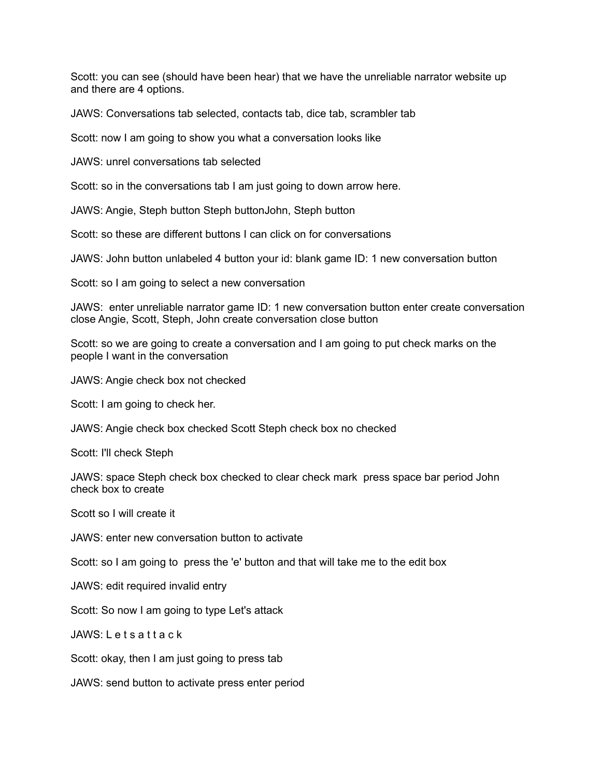Scott: you can see (should have been hear) that we have the unreliable narrator website up and there are 4 options.

JAWS: Conversations tab selected, contacts tab, dice tab, scrambler tab

Scott: now I am going to show you what a conversation looks like

JAWS: unrel conversations tab selected

Scott: so in the conversations tab I am just going to down arrow here.

JAWS: Angie, Steph button Steph buttonJohn, Steph button

Scott: so these are different buttons I can click on for conversations

JAWS: John button unlabeled 4 button your id: blank game ID: 1 new conversation button

Scott: so I am going to select a new conversation

JAWS: enter unreliable narrator game ID: 1 new conversation button enter create conversation close Angie, Scott, Steph, John create conversation close button

Scott: so we are going to create a conversation and I am going to put check marks on the people I want in the conversation

JAWS: Angie check box not checked

Scott: I am going to check her.

JAWS: Angie check box checked Scott Steph check box no checked

Scott: I'll check Steph

JAWS: space Steph check box checked to clear check mark press space bar period John check box to create

Scott so I will create it

JAWS: enter new conversation button to activate

Scott: so I am going to press the 'e' button and that will take me to the edit box

JAWS: edit required invalid entry

Scott: So now I am going to type Let's attack

JAWS: L e t s a t t a c k

Scott: okay, then I am just going to press tab

JAWS: send button to activate press enter period